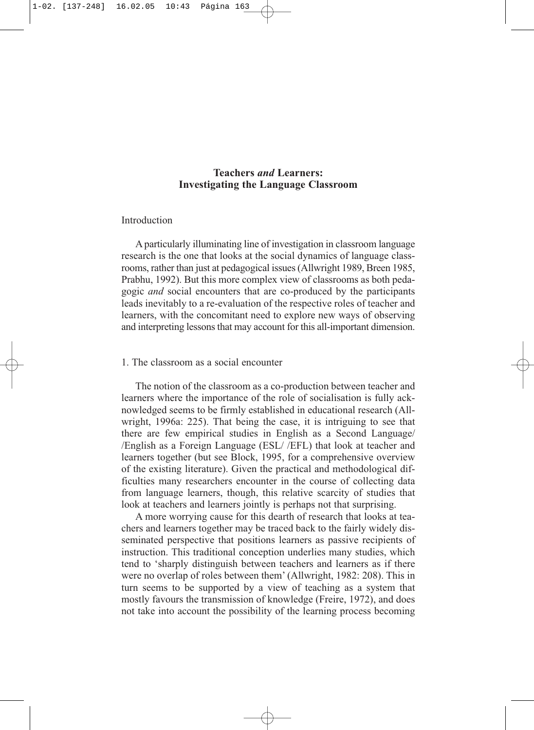# **Teachers** *and* **Learners: Investigating the Language Classroom**

# Introduction

A particularly illuminating line of investigation in classroom language research is the one that looks at the social dynamics of language classrooms, rather than just at pedagogical issues (Allwright 1989, Breen 1985, Prabhu, 1992). But this more complex view of classrooms as both pedagogic *and* social encounters that are co-produced by the participants leads inevitably to a re-evaluation of the respective roles of teacher and learners, with the concomitant need to explore new ways of observing and interpreting lessons that may account for this all-important dimension.

### 1. The classroom as a social encounter

The notion of the classroom as a co-production between teacher and learners where the importance of the role of socialisation is fully acknowledged seems to be firmly established in educational research (Allwright, 1996a: 225). That being the case, it is intriguing to see that there are few empirical studies in English as a Second Language/ /English as a Foreign Language (ESL/ /EFL) that look at teacher and learners together (but see Block, 1995, for a comprehensive overview of the existing literature). Given the practical and methodological difficulties many researchers encounter in the course of collecting data from language learners, though, this relative scarcity of studies that look at teachers and learners jointly is perhaps not that surprising.

A more worrying cause for this dearth of research that looks at teachers and learners together may be traced back to the fairly widely disseminated perspective that positions learners as passive recipients of instruction. This traditional conception underlies many studies, which tend to 'sharply distinguish between teachers and learners as if there were no overlap of roles between them' (Allwright, 1982: 208). This in turn seems to be supported by a view of teaching as a system that mostly favours the transmission of knowledge (Freire, 1972), and does not take into account the possibility of the learning process becoming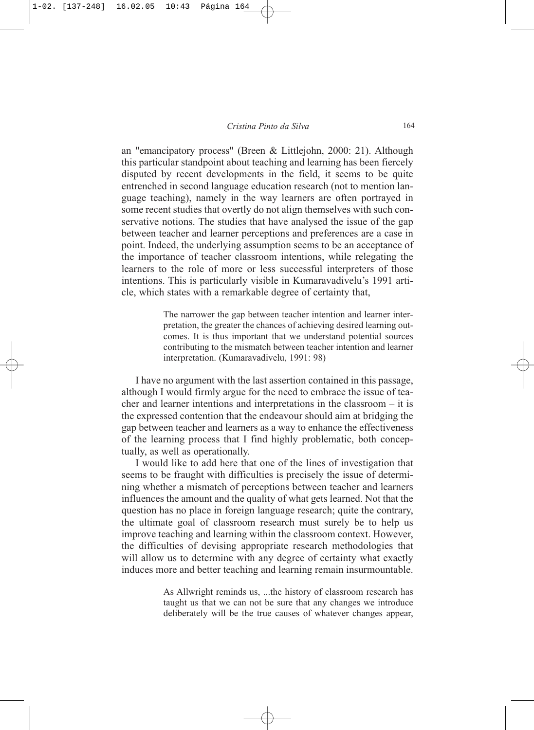an "emancipatory process" (Breen & Littlejohn, 2000: 21). Although this particular standpoint about teaching and learning has been fiercely disputed by recent developments in the field, it seems to be quite entrenched in second language education research (not to mention language teaching), namely in the way learners are often portrayed in some recent studies that overtly do not align themselves with such conservative notions. The studies that have analysed the issue of the gap between teacher and learner perceptions and preferences are a case in point. Indeed, the underlying assumption seems to be an acceptance of the importance of teacher classroom intentions, while relegating the learners to the role of more or less successful interpreters of those intentions. This is particularly visible in Kumaravadivelu's 1991 article, which states with a remarkable degree of certainty that,

> The narrower the gap between teacher intention and learner interpretation, the greater the chances of achieving desired learning outcomes. It is thus important that we understand potential sources contributing to the mismatch between teacher intention and learner interpretation. (Kumaravadivelu, 1991: 98)

I have no argument with the last assertion contained in this passage, although I would firmly argue for the need to embrace the issue of teacher and learner intentions and interpretations in the classroom – it is the expressed contention that the endeavour should aim at bridging the gap between teacher and learners as a way to enhance the effectiveness of the learning process that I find highly problematic, both conceptually, as well as operationally.

I would like to add here that one of the lines of investigation that seems to be fraught with difficulties is precisely the issue of determining whether a mismatch of perceptions between teacher and learners influences the amount and the quality of what gets learned. Not that the question has no place in foreign language research; quite the contrary, the ultimate goal of classroom research must surely be to help us improve teaching and learning within the classroom context. However, the difficulties of devising appropriate research methodologies that will allow us to determine with any degree of certainty what exactly induces more and better teaching and learning remain insurmountable.

> As Allwright reminds us, ...the history of classroom research has taught us that we can not be sure that any changes we introduce deliberately will be the true causes of whatever changes appear,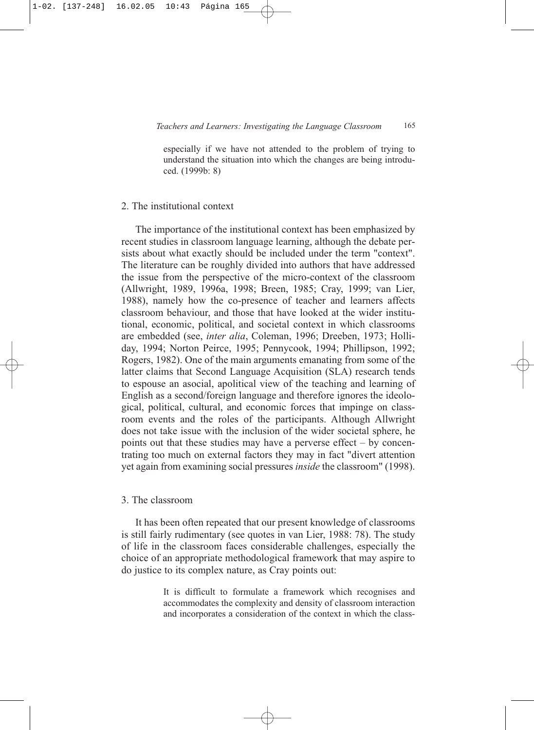especially if we have not attended to the problem of trying to understand the situation into which the changes are being introduced. (1999b: 8)

### 2. The institutional context

The importance of the institutional context has been emphasized by recent studies in classroom language learning, although the debate persists about what exactly should be included under the term "context". The literature can be roughly divided into authors that have addressed the issue from the perspective of the micro-context of the classroom (Allwright, 1989, 1996a, 1998; Breen, 1985; Cray, 1999; van Lier, 1988), namely how the co-presence of teacher and learners affects classroom behaviour, and those that have looked at the wider institutional, economic, political, and societal context in which classrooms are embedded (see, *inter alia*, Coleman, 1996; Dreeben, 1973; Holliday, 1994; Norton Peirce, 1995; Pennycook, 1994; Phillipson, 1992; Rogers, 1982). One of the main arguments emanating from some of the latter claims that Second Language Acquisition (SLA) research tends to espouse an asocial, apolitical view of the teaching and learning of English as a second/foreign language and therefore ignores the ideological, political, cultural, and economic forces that impinge on classroom events and the roles of the participants. Although Allwright does not take issue with the inclusion of the wider societal sphere, he points out that these studies may have a perverse effect – by concentrating too much on external factors they may in fact "divert attention yet again from examining social pressures *inside* the classroom" (1998).

#### 3. The classroom

It has been often repeated that our present knowledge of classrooms is still fairly rudimentary (see quotes in van Lier, 1988: 78). The study of life in the classroom faces considerable challenges, especially the choice of an appropriate methodological framework that may aspire to do justice to its complex nature, as Cray points out:

> It is difficult to formulate a framework which recognises and accommodates the complexity and density of classroom interaction and incorporates a consideration of the context in which the class-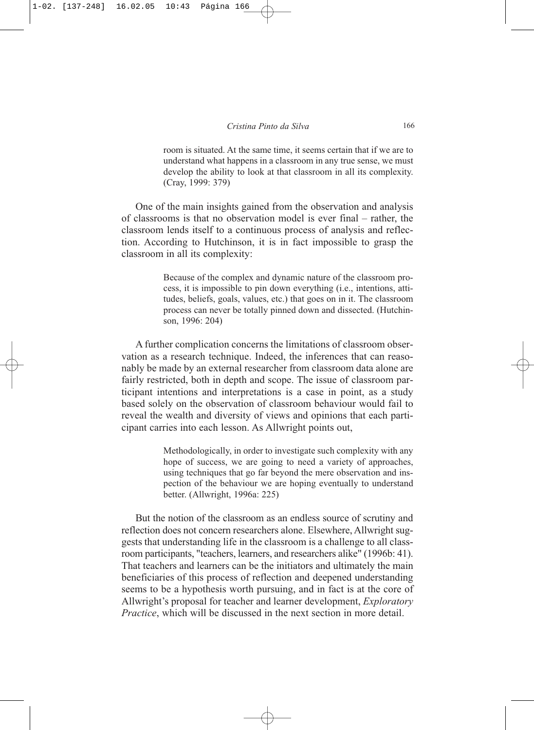room is situated. At the same time, it seems certain that if we are to understand what happens in a classroom in any true sense, we must develop the ability to look at that classroom in all its complexity. (Cray, 1999: 379)

One of the main insights gained from the observation and analysis of classrooms is that no observation model is ever final – rather, the classroom lends itself to a continuous process of analysis and reflection. According to Hutchinson, it is in fact impossible to grasp the classroom in all its complexity:

> Because of the complex and dynamic nature of the classroom process, it is impossible to pin down everything (i.e., intentions, attitudes, beliefs, goals, values, etc.) that goes on in it. The classroom process can never be totally pinned down and dissected. (Hutchinson, 1996: 204)

A further complication concerns the limitations of classroom observation as a research technique. Indeed, the inferences that can reasonably be made by an external researcher from classroom data alone are fairly restricted, both in depth and scope. The issue of classroom participant intentions and interpretations is a case in point, as a study based solely on the observation of classroom behaviour would fail to reveal the wealth and diversity of views and opinions that each participant carries into each lesson. As Allwright points out,

> Methodologically, in order to investigate such complexity with any hope of success, we are going to need a variety of approaches, using techniques that go far beyond the mere observation and inspection of the behaviour we are hoping eventually to understand better. (Allwright, 1996a: 225)

But the notion of the classroom as an endless source of scrutiny and reflection does not concern researchers alone. Elsewhere, Allwright suggests that understanding life in the classroom is a challenge to all classroom participants, "teachers, learners, and researchers alike" (1996b: 41). That teachers and learners can be the initiators and ultimately the main beneficiaries of this process of reflection and deepened understanding seems to be a hypothesis worth pursuing, and in fact is at the core of Allwright's proposal for teacher and learner development, *Exploratory Practice*, which will be discussed in the next section in more detail.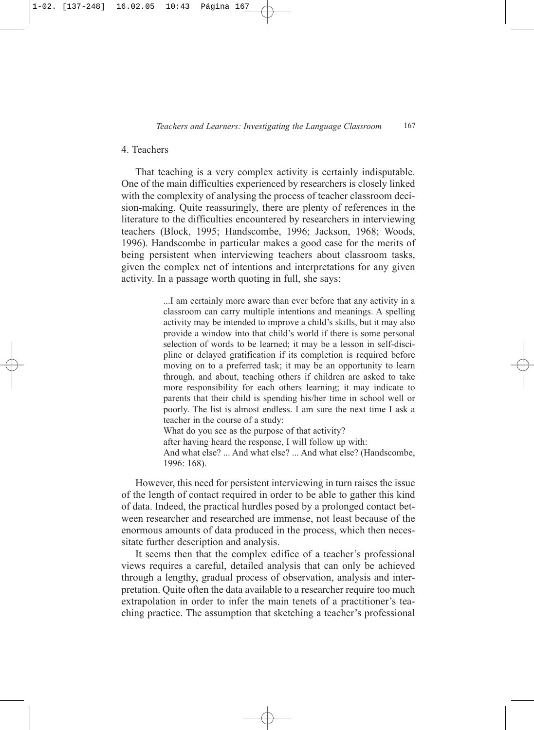# 4. Teachers

That teaching is a very complex activity is certainly indisputable. One of the main difficulties experienced by researchers is closely linked with the complexity of analysing the process of teacher classroom decision-making. Quite reassuringly, there are plenty of references in the literature to the difficulties encountered by researchers in interviewing teachers (Block, 1995; Handscombe, 1996; Jackson, 1968; Woods, 1996). Handscombe in particular makes a good case for the merits of being persistent when interviewing teachers about classroom tasks, given the complex net of intentions and interpretations for any given activity. In a passage worth quoting in full, she says:

> ...I am certainly more aware than ever before that any activity in a classroom can carry multiple intentions and meanings. A spelling activity may be intended to improve a child's skills, but it may also provide a window into that child's world if there is some personal selection of words to be learned; it may be a lesson in self-discipline or delayed gratification if its completion is required before moving on to a preferred task; it may be an opportunity to learn through, and about, teaching others if children are asked to take more responsibility for each others learning; it may indicate to parents that their child is spending his/her time in school well or poorly. The list is almost endless. I am sure the next time I ask a teacher in the course of a study: What do you see as the purpose of that activity?

> after having heard the response, I will follow up with: And what else? ... And what else? ... And what else? (Handscombe,

1996: 168).

However, this need for persistent interviewing in turn raises the issue of the length of contact required in order to be able to gather this kind of data. Indeed, the practical hurdles posed by a prolonged contact between researcher and researched are immense, not least because of the enormous amounts of data produced in the process, which then necessitate further description and analysis.

It seems then that the complex edifice of a teacher's professional views requires a careful, detailed analysis that can only be achieved through a lengthy, gradual process of observation, analysis and interpretation. Quite often the data available to a researcher require too much extrapolation in order to infer the main tenets of a practitioner's teaching practice. The assumption that sketching a teacher's professional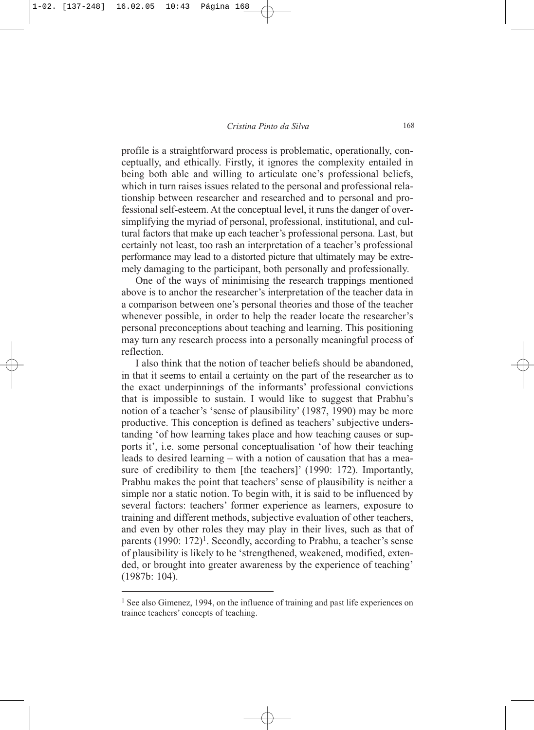profile is a straightforward process is problematic, operationally, conceptually, and ethically. Firstly, it ignores the complexity entailed in being both able and willing to articulate one's professional beliefs, which in turn raises issues related to the personal and professional relationship between researcher and researched and to personal and professional self-esteem. At the conceptual level, it runs the danger of oversimplifying the myriad of personal, professional, institutional, and cultural factors that make up each teacher's professional persona. Last, but certainly not least, too rash an interpretation of a teacher's professional performance may lead to a distorted picture that ultimately may be extremely damaging to the participant, both personally and professionally.

One of the ways of minimising the research trappings mentioned above is to anchor the researcher's interpretation of the teacher data in a comparison between one's personal theories and those of the teacher whenever possible, in order to help the reader locate the researcher's personal preconceptions about teaching and learning. This positioning may turn any research process into a personally meaningful process of reflection.

I also think that the notion of teacher beliefs should be abandoned, in that it seems to entail a certainty on the part of the researcher as to the exact underpinnings of the informants' professional convictions that is impossible to sustain. I would like to suggest that Prabhu's notion of a teacher's 'sense of plausibility' (1987, 1990) may be more productive. This conception is defined as teachers' subjective understanding 'of how learning takes place and how teaching causes or supports it', i.e. some personal conceptualisation 'of how their teaching leads to desired learning – with a notion of causation that has a measure of credibility to them [the teachers]' (1990: 172). Importantly, Prabhu makes the point that teachers' sense of plausibility is neither a simple nor a static notion. To begin with, it is said to be influenced by several factors: teachers' former experience as learners, exposure to training and different methods, subjective evaluation of other teachers, and even by other roles they may play in their lives, such as that of parents  $(1990: 172)^1$ . Secondly, according to Prabhu, a teacher's sense of plausibility is likely to be 'strengthened, weakened, modified, extended, or brought into greater awareness by the experience of teaching' (1987b: 104).

<sup>&</sup>lt;sup>1</sup> See also Gimenez, 1994, on the influence of training and past life experiences on trainee teachers' concepts of teaching.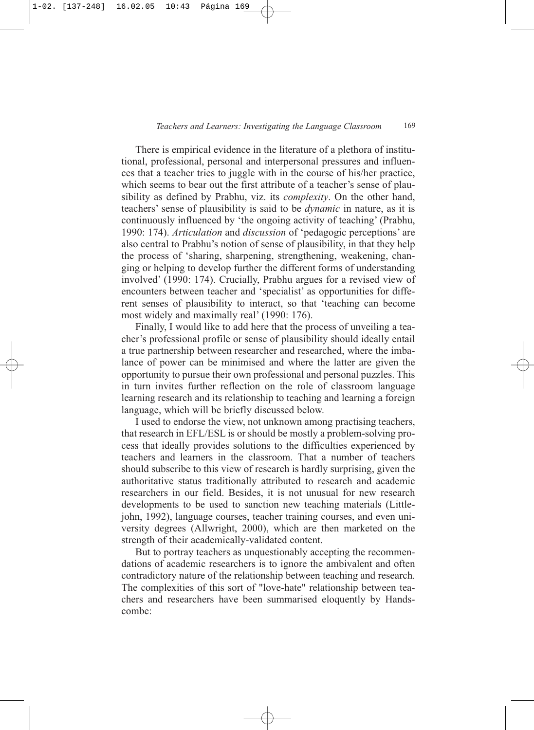There is empirical evidence in the literature of a plethora of institutional, professional, personal and interpersonal pressures and influences that a teacher tries to juggle with in the course of his/her practice, which seems to bear out the first attribute of a teacher's sense of plausibility as defined by Prabhu, viz. its *complexity*. On the other hand, teachers' sense of plausibility is said to be *dynamic* in nature, as it is continuously influenced by 'the ongoing activity of teaching' (Prabhu, 1990: 174). *Articulation* and *discussion* of 'pedagogic perceptions' are also central to Prabhu's notion of sense of plausibility, in that they help the process of 'sharing, sharpening, strengthening, weakening, changing or helping to develop further the different forms of understanding involved' (1990: 174). Crucially, Prabhu argues for a revised view of encounters between teacher and 'specialist' as opportunities for different senses of plausibility to interact, so that 'teaching can become most widely and maximally real' (1990: 176).

Finally, I would like to add here that the process of unveiling a teacher's professional profile or sense of plausibility should ideally entail a true partnership between researcher and researched, where the imbalance of power can be minimised and where the latter are given the opportunity to pursue their own professional and personal puzzles. This in turn invites further reflection on the role of classroom language learning research and its relationship to teaching and learning a foreign language, which will be briefly discussed below.

I used to endorse the view, not unknown among practising teachers, that research in EFL/ESL is or should be mostly a problem-solving process that ideally provides solutions to the difficulties experienced by teachers and learners in the classroom. That a number of teachers should subscribe to this view of research is hardly surprising, given the authoritative status traditionally attributed to research and academic researchers in our field. Besides, it is not unusual for new research developments to be used to sanction new teaching materials (Littlejohn, 1992), language courses, teacher training courses, and even university degrees (Allwright, 2000), which are then marketed on the strength of their academically-validated content.

But to portray teachers as unquestionably accepting the recommendations of academic researchers is to ignore the ambivalent and often contradictory nature of the relationship between teaching and research. The complexities of this sort of "love-hate" relationship between teachers and researchers have been summarised eloquently by Handscombe: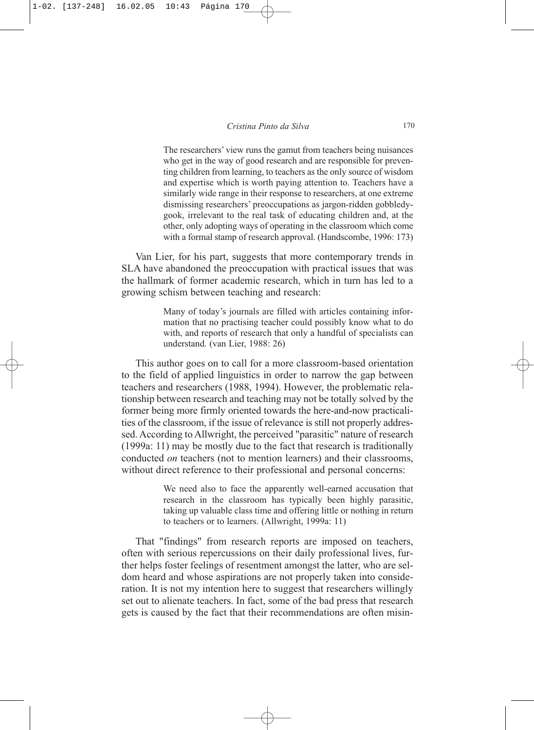The researchers' view runs the gamut from teachers being nuisances who get in the way of good research and are responsible for preventing children from learning, to teachers as the only source of wisdom and expertise which is worth paying attention to. Teachers have a similarly wide range in their response to researchers, at one extreme dismissing researchers' preoccupations as jargon-ridden gobbledygook, irrelevant to the real task of educating children and, at the other, only adopting ways of operating in the classroom which come with a formal stamp of research approval. (Handscombe, 1996: 173)

Van Lier, for his part, suggests that more contemporary trends in SLA have abandoned the preoccupation with practical issues that was the hallmark of former academic research, which in turn has led to a growing schism between teaching and research:

> Many of today's journals are filled with articles containing information that no practising teacher could possibly know what to do with, and reports of research that only a handful of specialists can understand. (van Lier, 1988: 26)

This author goes on to call for a more classroom-based orientation to the field of applied linguistics in order to narrow the gap between teachers and researchers (1988, 1994). However, the problematic relationship between research and teaching may not be totally solved by the former being more firmly oriented towards the here-and-now practicalities of the classroom, if the issue of relevance is still not properly addressed. According to Allwright, the perceived "parasitic" nature of research (1999a: 11) may be mostly due to the fact that research is traditionally conducted *on* teachers (not to mention learners) and their classrooms, without direct reference to their professional and personal concerns:

> We need also to face the apparently well-earned accusation that research in the classroom has typically been highly parasitic, taking up valuable class time and offering little or nothing in return to teachers or to learners. (Allwright, 1999a: 11)

That "findings" from research reports are imposed on teachers, often with serious repercussions on their daily professional lives, further helps foster feelings of resentment amongst the latter, who are seldom heard and whose aspirations are not properly taken into consideration. It is not my intention here to suggest that researchers willingly set out to alienate teachers. In fact, some of the bad press that research gets is caused by the fact that their recommendations are often misin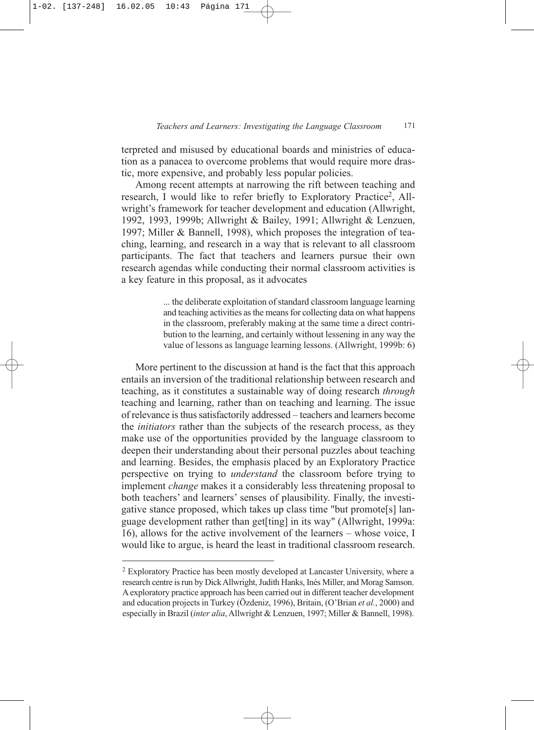terpreted and misused by educational boards and ministries of education as a panacea to overcome problems that would require more drastic, more expensive, and probably less popular policies.

Among recent attempts at narrowing the rift between teaching and research, I would like to refer briefly to Exploratory Practice<sup>2</sup>, Allwright's framework for teacher development and education (Allwright, 1992, 1993, 1999b; Allwright & Bailey, 1991; Allwright & Lenzuen, 1997; Miller & Bannell, 1998), which proposes the integration of teaching, learning, and research in a way that is relevant to all classroom participants. The fact that teachers and learners pursue their own research agendas while conducting their normal classroom activities is a key feature in this proposal, as it advocates

> ... the deliberate exploitation of standard classroom language learning and teaching activities as the means for collecting data on what happens in the classroom, preferably making at the same time a direct contribution to the learning, and certainly without lessening in any way the value of lessons as language learning lessons. (Allwright, 1999b: 6)

More pertinent to the discussion at hand is the fact that this approach entails an inversion of the traditional relationship between research and teaching, as it constitutes a sustainable way of doing research *through* teaching and learning, rather than on teaching and learning. The issue of relevance is thus satisfactorily addressed – teachers and learners become the *initiators* rather than the subjects of the research process, as they make use of the opportunities provided by the language classroom to deepen their understanding about their personal puzzles about teaching and learning. Besides, the emphasis placed by an Exploratory Practice perspective on trying to *understand* the classroom before trying to implement *change* makes it a considerably less threatening proposal to both teachers' and learners' senses of plausibility. Finally, the investigative stance proposed, which takes up class time "but promote[s] language development rather than get[ting] in its way" (Allwright, 1999a: 16), allows for the active involvement of the learners – whose voice, I would like to argue, is heard the least in traditional classroom research.

<sup>2</sup> Exploratory Practice has been mostly developed at Lancaster University, where a research centre is run by Dick Allwright, Judith Hanks, Inés Miller, and Morag Samson. A exploratory practice approach has been carried out in different teacher development and education projects in Turkey (Özdeniz, 1996), Britain, (O'Brian *et al.*, 2000) and especially in Brazil (*inter alia*, Allwright & Lenzuen, 1997; Miller & Bannell, 1998).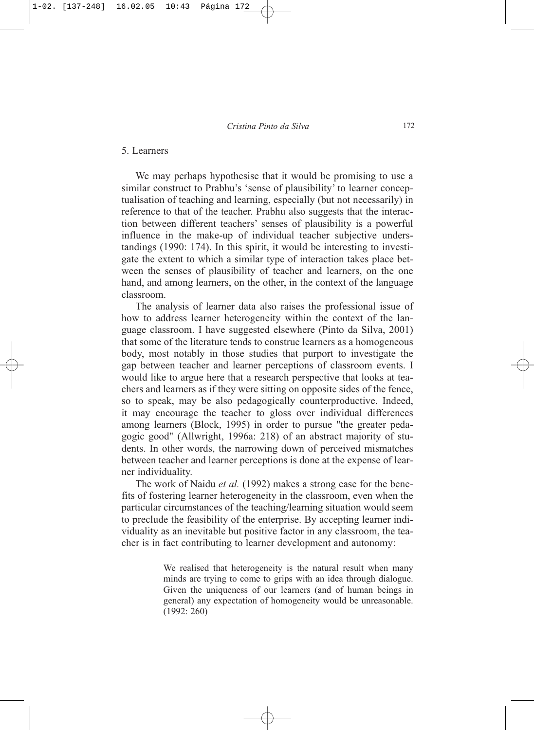# 5. Learners

We may perhaps hypothesise that it would be promising to use a similar construct to Prabhu's 'sense of plausibility' to learner conceptualisation of teaching and learning, especially (but not necessarily) in reference to that of the teacher. Prabhu also suggests that the interaction between different teachers' senses of plausibility is a powerful influence in the make-up of individual teacher subjective understandings (1990: 174). In this spirit, it would be interesting to investigate the extent to which a similar type of interaction takes place between the senses of plausibility of teacher and learners, on the one hand, and among learners, on the other, in the context of the language classroom.

The analysis of learner data also raises the professional issue of how to address learner heterogeneity within the context of the language classroom. I have suggested elsewhere (Pinto da Silva, 2001) that some of the literature tends to construe learners as a homogeneous body, most notably in those studies that purport to investigate the gap between teacher and learner perceptions of classroom events. I would like to argue here that a research perspective that looks at teachers and learners as if they were sitting on opposite sides of the fence, so to speak, may be also pedagogically counterproductive. Indeed, it may encourage the teacher to gloss over individual differences among learners (Block, 1995) in order to pursue "the greater pedagogic good" (Allwright, 1996a: 218) of an abstract majority of students. In other words, the narrowing down of perceived mismatches between teacher and learner perceptions is done at the expense of learner individuality.

The work of Naidu *et al.* (1992) makes a strong case for the benefits of fostering learner heterogeneity in the classroom, even when the particular circumstances of the teaching/learning situation would seem to preclude the feasibility of the enterprise. By accepting learner individuality as an inevitable but positive factor in any classroom, the teacher is in fact contributing to learner development and autonomy:

> We realised that heterogeneity is the natural result when many minds are trying to come to grips with an idea through dialogue. Given the uniqueness of our learners (and of human beings in general) any expectation of homogeneity would be unreasonable. (1992: 260)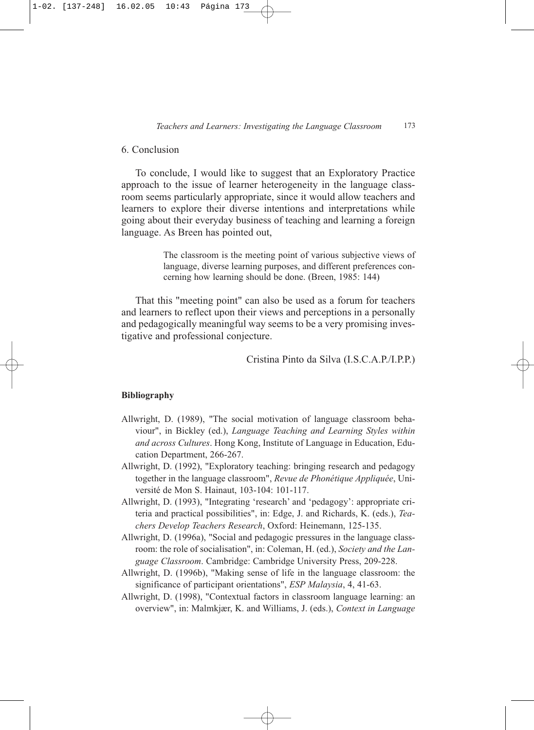# 6. Conclusion

To conclude, I would like to suggest that an Exploratory Practice approach to the issue of learner heterogeneity in the language classroom seems particularly appropriate, since it would allow teachers and learners to explore their diverse intentions and interpretations while going about their everyday business of teaching and learning a foreign language. As Breen has pointed out,

> The classroom is the meeting point of various subjective views of language, diverse learning purposes, and different preferences concerning how learning should be done. (Breen, 1985: 144)

That this "meeting point" can also be used as a forum for teachers and learners to reflect upon their views and perceptions in a personally and pedagogically meaningful way seems to be a very promising investigative and professional conjecture.

Cristina Pinto da Silva (I.S.C.A.P./I.P.P.)

### **Bibliography**

- Allwright, D. (1989), "The social motivation of language classroom behaviour", in Bickley (ed.), *Language Teaching and Learning Styles within and across Cultures*. Hong Kong, Institute of Language in Education, Education Department, 266-267.
- Allwright, D. (1992), "Exploratory teaching: bringing research and pedagogy together in the language classroom", *Revue de Phonétique Appliquée*, Université de Mon S. Hainaut, 103-104: 101-117.
- Allwright, D. (1993), "Integrating 'research' and 'pedagogy': appropriate criteria and practical possibilities", in: Edge, J. and Richards, K. (eds.), *Teachers Develop Teachers Research*, Oxford: Heinemann, 125-135.
- Allwright, D. (1996a), "Social and pedagogic pressures in the language classroom: the role of socialisation", in: Coleman, H. (ed.), *Society and the Language Classroom*. Cambridge: Cambridge University Press, 209-228.
- Allwright, D. (1996b), "Making sense of life in the language classroom: the significance of participant orientations", *ESP Malaysia*, 4, 41-63.
- Allwright, D. (1998), "Contextual factors in classroom language learning: an overview", in: Malmkjær, K. and Williams, J. (eds.), *Context in Language*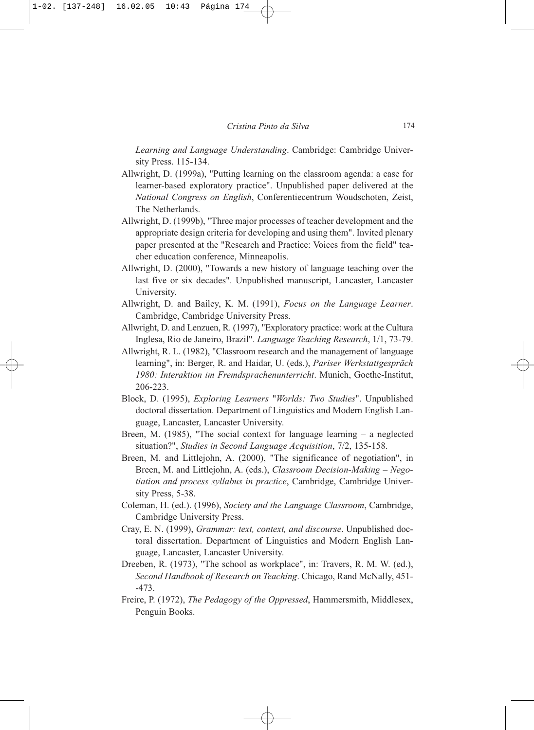*Learning and Language Understanding*. Cambridge: Cambridge University Press. 115-134.

- Allwright, D. (1999a), "Putting learning on the classroom agenda: a case for learner-based exploratory practice". Unpublished paper delivered at the *National Congress on English*, Conferentiecentrum Woudschoten, Zeist, The Netherlands.
- Allwright, D. (1999b), "Three major processes of teacher development and the appropriate design criteria for developing and using them". Invited plenary paper presented at the "Research and Practice: Voices from the field" teacher education conference, Minneapolis.
- Allwright, D. (2000), "Towards a new history of language teaching over the last five or six decades". Unpublished manuscript, Lancaster, Lancaster University.
- Allwright, D. and Bailey, K. M. (1991), *Focus on the Language Learner*. Cambridge, Cambridge University Press.
- Allwright, D. and Lenzuen, R. (1997), "Exploratory practice: work at the Cultura Inglesa, Rio de Janeiro, Brazil". *Language Teaching Research*, 1/1, 73-79.
- Allwright, R. L. (1982), "Classroom research and the management of language learning", in: Berger, R. and Haidar, U. (eds.), *Pariser Werkstattgespräch 1980: Interaktion im Fremdsprachenunterricht*. Munich, Goethe-Institut, 206-223.
- Block, D. (1995), *Exploring Learners* "*Worlds: Two Studies*". Unpublished doctoral dissertation. Department of Linguistics and Modern English Language, Lancaster, Lancaster University.
- Breen, M. (1985), "The social context for language learning a neglected situation?", *Studies in Second Language Acquisition*, 7/2, 135-158.
- Breen, M. and Littlejohn, A. (2000), "The significance of negotiation", in Breen, M. and Littlejohn, A. (eds.), *Classroom Decision-Making – Negotiation and process syllabus in practice*, Cambridge, Cambridge University Press, 5-38.
- Coleman, H. (ed.). (1996), *Society and the Language Classroom*, Cambridge, Cambridge University Press.
- Cray, E. N. (1999), *Grammar: text, context, and discourse*. Unpublished doctoral dissertation. Department of Linguistics and Modern English Language, Lancaster, Lancaster University.
- Dreeben, R. (1973), "The school as workplace", in: Travers, R. M. W. (ed.), *Second Handbook of Research on Teaching*. Chicago, Rand McNally, 451- -473.
- Freire, P. (1972), *The Pedagogy of the Oppressed*, Hammersmith, Middlesex, Penguin Books.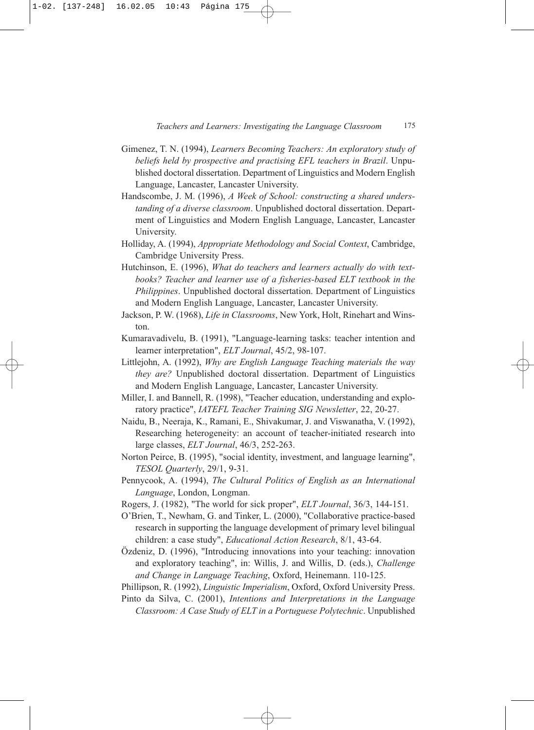- Gimenez, T. N. (1994), *Learners Becoming Teachers: An exploratory study of beliefs held by prospective and practising EFL teachers in Brazil*. Unpublished doctoral dissertation. Department of Linguistics and Modern English Language, Lancaster, Lancaster University.
- Handscombe, J. M. (1996), *A Week of School: constructing a shared understanding of a diverse classroom*. Unpublished doctoral dissertation. Department of Linguistics and Modern English Language, Lancaster, Lancaster University.
- Holliday, A. (1994), *Appropriate Methodology and Social Context*, Cambridge, Cambridge University Press.
- Hutchinson, E. (1996), *What do teachers and learners actually do with textbooks? Teacher and learner use of a fisheries-based ELT textbook in the Philippines*. Unpublished doctoral dissertation. Department of Linguistics and Modern English Language, Lancaster, Lancaster University.
- Jackson, P. W. (1968), *Life in Classrooms*, New York, Holt, Rinehart and Winston.
- Kumaravadivelu, B. (1991), "Language-learning tasks: teacher intention and learner interpretation", *ELT Journal*, 45/2, 98-107.
- Littlejohn, A. (1992), *Why are English Language Teaching materials the way they are?* Unpublished doctoral dissertation. Department of Linguistics and Modern English Language, Lancaster, Lancaster University.
- Miller, I. and Bannell, R. (1998), "Teacher education, understanding and exploratory practice", *IATEFL Teacher Training SIG Newsletter*, 22, 20-27.
- Naidu, B., Neeraja, K., Ramani, E., Shivakumar, J. and Viswanatha, V. (1992), Researching heterogeneity: an account of teacher-initiated research into large classes, *ELT Journal*, 46/3, 252-263.
- Norton Peirce, B. (1995), "social identity, investment, and language learning", *TESOL Quarterly*, 29/1, 9-31.
- Pennycook, A. (1994), *The Cultural Politics of English as an International Language*, London, Longman.
- Rogers, J. (1982), "The world for sick proper", *ELT Journal*, 36/3, 144-151.
- O'Brien, T., Newham, G. and Tinker, L. (2000), "Collaborative practice-based research in supporting the language development of primary level bilingual children: a case study", *Educational Action Research*, 8/1, 43-64.
- Özdeniz, D. (1996), "Introducing innovations into your teaching: innovation and exploratory teaching", in: Willis, J. and Willis, D. (eds.), *Challenge and Change in Language Teaching*, Oxford, Heinemann. 110-125.
- Phillipson, R. (1992), *Linguistic Imperialism*, Oxford, Oxford University Press.
- Pinto da Silva, C. (2001), *Intentions and Interpretations in the Language Classroom: A Case Study of ELT in a Portuguese Polytechnic*. Unpublished